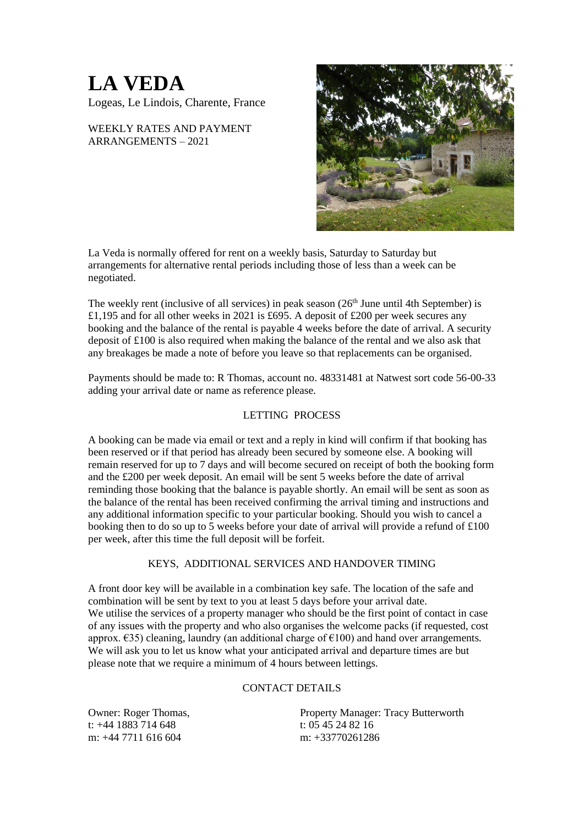## **LA VEDA**

Logeas, Le Lindois, Charente, France

WEEKLY RATES AND PAYMENT ARRANGEMENTS – 2021



La Veda is normally offered for rent on a weekly basis, Saturday to Saturday but arrangements for alternative rental periods including those of less than a week can be negotiated.

The weekly rent (inclusive of all services) in peak season  $(26<sup>th</sup>$  June until 4th September) is £1,195 and for all other weeks in 2021 is £695. A deposit of £200 per week secures any booking and the balance of the rental is payable 4 weeks before the date of arrival. A security deposit of £100 is also required when making the balance of the rental and we also ask that any breakages be made a note of before you leave so that replacements can be organised.

Payments should be made to: R Thomas, account no. 48331481 at Natwest sort code 56-00-33 adding your arrival date or name as reference please.

## LETTING PROCESS

A booking can be made via email or text and a reply in kind will confirm if that booking has been reserved or if that period has already been secured by someone else. A booking will remain reserved for up to 7 days and will become secured on receipt of both the booking form and the £200 per week deposit. An email will be sent 5 weeks before the date of arrival reminding those booking that the balance is payable shortly. An email will be sent as soon as the balance of the rental has been received confirming the arrival timing and instructions and any additional information specific to your particular booking. Should you wish to cancel a booking then to do so up to 5 weeks before your date of arrival will provide a refund of £100 per week, after this time the full deposit will be forfeit.

## KEYS, ADDITIONAL SERVICES AND HANDOVER TIMING

A front door key will be available in a combination key safe. The location of the safe and combination will be sent by text to you at least 5 days before your arrival date. We utilise the services of a property manager who should be the first point of contact in case of any issues with the property and who also organises the welcome packs (if requested, cost approx.  $\epsilon$ 35) cleaning, laundry (an additional charge of  $\epsilon$ 100) and hand over arrangements. We will ask you to let us know what your anticipated arrival and departure times are but please note that we require a minimum of 4 hours between lettings.

## CONTACT DETAILS

t: +44 1883 714 648 t: 05 45 24 82 16 m: +44 7711 616 604 m: +33770261286

Owner: Roger Thomas, Property Manager: Tracy Butterworth